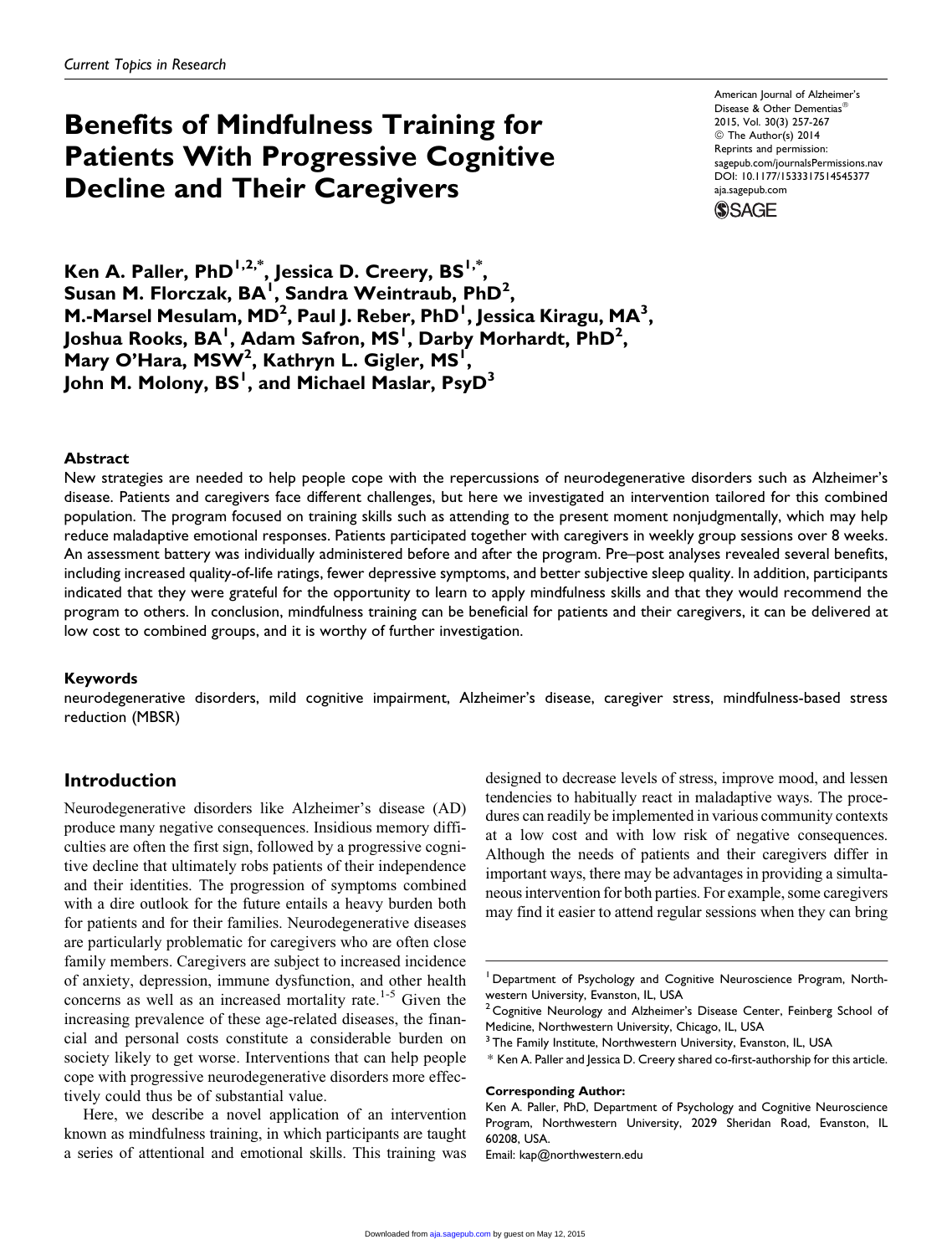# Benefits of Mindfulness Training for Patients With Progressive Cognitive Decline and Their Caregivers

American Journal of Alzheimer's Disease & Other Dementias 2015, Vol. 30(3) 257-267 © The Author(s) 2014 Reprints and permission: [sagepub.com/journalsPermissions.nav](http://www.sagepub.com/journalsPermissions.nav) DOI: 10.1177/1533317514545377 [aja.sagepub.com](http://aja.sagepub.com)

**SSAGE** 

Ken A. Paller, PhD<sup>1,2,\*</sup>, Jessica D. Creery, BS<sup>1,\*</sup>, Susan M. Florczak, BA<sup>I</sup>, Sandra Weintraub, PhD<sup>2</sup>, M.-Marsel Mesulam, MD<sup>2</sup>, Paul J. Reber, PhD<sup>1</sup>, Jessica Kiragu, MA $^3\!$ Joshua Rooks, BA<sup>I</sup>, Adam Safron, MS<sup>I</sup>, Darby Morhardt, PhD<sup>2</sup>,  $\overline{\mathsf{M}}$ ary O'Hara, MS $\overline{\mathsf{W}}^2$ , Kathryn L. Gigler, MS<sup>I</sup>, John M. Molony, BS<sup>1</sup>, and Michael Maslar, PsyD<sup>3</sup>

## Abstract

New strategies are needed to help people cope with the repercussions of neurodegenerative disorders such as Alzheimer's disease. Patients and caregivers face different challenges, but here we investigated an intervention tailored for this combined population. The program focused on training skills such as attending to the present moment nonjudgmentally, which may help reduce maladaptive emotional responses. Patients participated together with caregivers in weekly group sessions over 8 weeks. An assessment battery was individually administered before and after the program. Pre–post analyses revealed several benefits, including increased quality-of-life ratings, fewer depressive symptoms, and better subjective sleep quality. In addition, participants indicated that they were grateful for the opportunity to learn to apply mindfulness skills and that they would recommend the program to others. In conclusion, mindfulness training can be beneficial for patients and their caregivers, it can be delivered at low cost to combined groups, and it is worthy of further investigation.

## Keywords

neurodegenerative disorders, mild cognitive impairment, Alzheimer's disease, caregiver stress, mindfulness-based stress reduction (MBSR)

# Introduction

Neurodegenerative disorders like Alzheimer's disease (AD) produce many negative consequences. Insidious memory difficulties are often the first sign, followed by a progressive cognitive decline that ultimately robs patients of their independence and their identities. The progression of symptoms combined with a dire outlook for the future entails a heavy burden both for patients and for their families. Neurodegenerative diseases are particularly problematic for caregivers who are often close family members. Caregivers are subject to increased incidence of anxiety, depression, immune dysfunction, and other health concerns as well as an increased mortality rate.<sup>1-5</sup> Given the increasing prevalence of these age-related diseases, the financial and personal costs constitute a considerable burden on society likely to get worse. Interventions that can help people cope with progressive neurodegenerative disorders more effectively could thus be of substantial value.

Here, we describe a novel application of an intervention known as mindfulness training, in which participants are taught a series of attentional and emotional skills. This training was

designed to decrease levels of stress, improve mood, and lessen tendencies to habitually react in maladaptive ways. The procedures can readily be implemented in various community contexts at a low cost and with low risk of negative consequences. Although the needs of patients and their caregivers differ in important ways, there may be advantages in providing a simultaneous intervention for both parties. For example, some caregivers may find it easier to attend regular sessions when they can bring

#### Corresponding Author:

Email: kap@northwestern.edu

<sup>&</sup>lt;sup>1</sup> Department of Psychology and Cognitive Neuroscience Program, Northwestern University, Evanston, IL, USA

 $2$  Cognitive Neurology and Alzheimer's Disease Center, Feinberg School of Medicine, Northwestern University, Chicago, IL, USA

<sup>&</sup>lt;sup>3</sup> The Family Institute, Northwestern University, Evanston, IL, USA

<sup>\*</sup> Ken A. Paller and Jessica D. Creery shared co-first-authorship for this article.

Ken A. Paller, PhD, Department of Psychology and Cognitive Neuroscience Program, Northwestern University, 2029 Sheridan Road, Evanston, IL 60208, USA.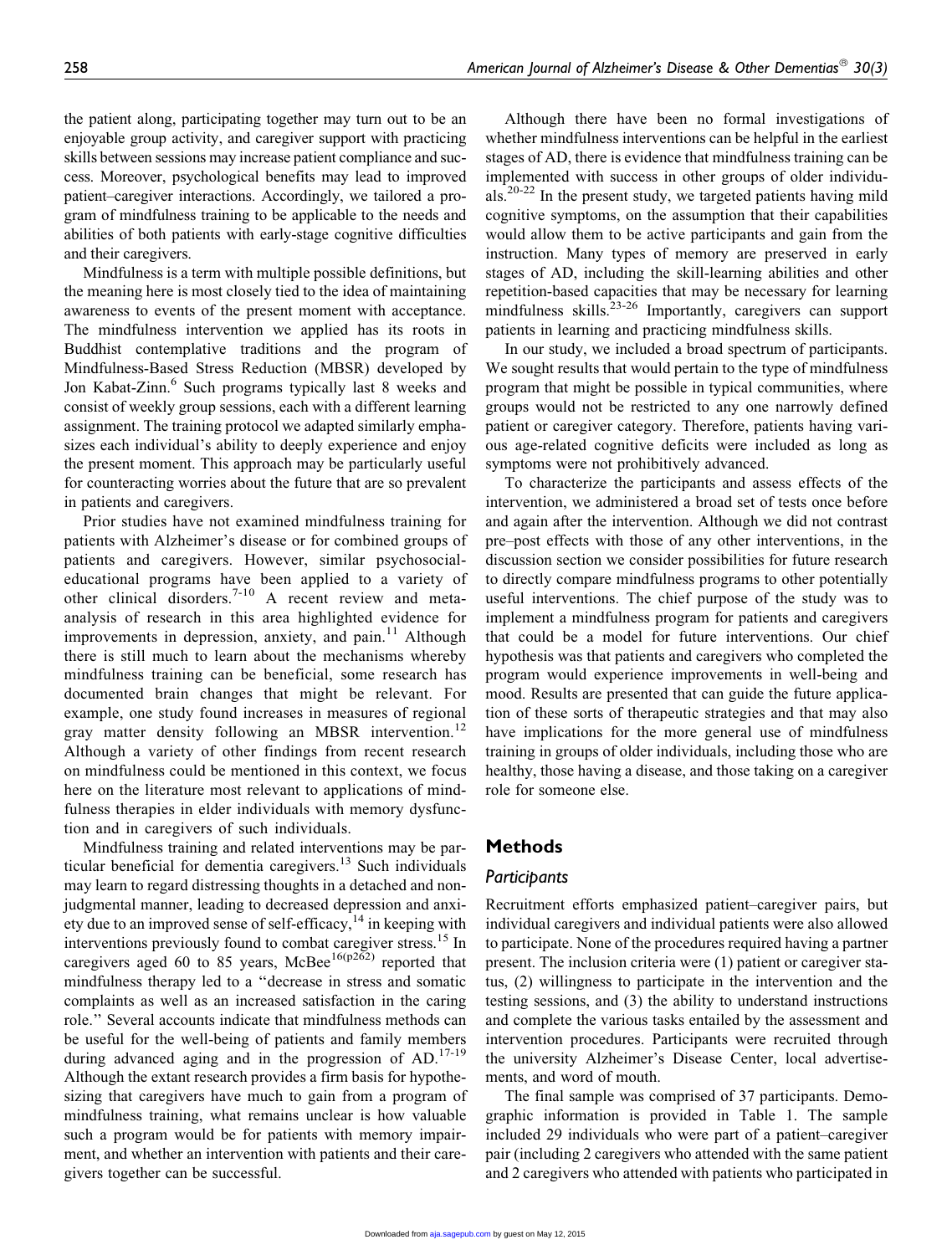the patient along, participating together may turn out to be an enjoyable group activity, and caregiver support with practicing skills between sessions may increase patient compliance and success. Moreover, psychological benefits may lead to improved patient–caregiver interactions. Accordingly, we tailored a program of mindfulness training to be applicable to the needs and abilities of both patients with early-stage cognitive difficulties and their caregivers.

Mindfulness is a term with multiple possible definitions, but the meaning here is most closely tied to the idea of maintaining awareness to events of the present moment with acceptance. The mindfulness intervention we applied has its roots in Buddhist contemplative traditions and the program of Mindfulness-Based Stress Reduction (MBSR) developed by Jon Kabat-Zinn.<sup>6</sup> Such programs typically last 8 weeks and consist of weekly group sessions, each with a different learning assignment. The training protocol we adapted similarly emphasizes each individual's ability to deeply experience and enjoy the present moment. This approach may be particularly useful for counteracting worries about the future that are so prevalent in patients and caregivers.

Prior studies have not examined mindfulness training for patients with Alzheimer's disease or for combined groups of patients and caregivers. However, similar psychosocialeducational programs have been applied to a variety of other clinical disorders.7-10 A recent review and metaanalysis of research in this area highlighted evidence for improvements in depression, anxiety, and pain. $11$  Although there is still much to learn about the mechanisms whereby mindfulness training can be beneficial, some research has documented brain changes that might be relevant. For example, one study found increases in measures of regional gray matter density following an MBSR intervention.<sup>12</sup> Although a variety of other findings from recent research on mindfulness could be mentioned in this context, we focus here on the literature most relevant to applications of mindfulness therapies in elder individuals with memory dysfunction and in caregivers of such individuals.

Mindfulness training and related interventions may be particular beneficial for dementia caregivers.<sup>13</sup> Such individuals may learn to regard distressing thoughts in a detached and nonjudgmental manner, leading to decreased depression and anxiety due to an improved sense of self-efficacy,<sup>14</sup> in keeping with interventions previously found to combat caregiver stress.<sup>15</sup> In caregivers aged 60 to 85 years, McBee<sup>16(p262)</sup> reported that mindfulness therapy led to a ''decrease in stress and somatic complaints as well as an increased satisfaction in the caring role.'' Several accounts indicate that mindfulness methods can be useful for the well-being of patients and family members during advanced aging and in the progression of  $AD$ .<sup>17-19</sup> Although the extant research provides a firm basis for hypothesizing that caregivers have much to gain from a program of mindfulness training, what remains unclear is how valuable such a program would be for patients with memory impairment, and whether an intervention with patients and their caregivers together can be successful.

Although there have been no formal investigations of whether mindfulness interventions can be helpful in the earliest stages of AD, there is evidence that mindfulness training can be implemented with success in other groups of older individuals.<sup>20-22</sup> In the present study, we targeted patients having mild cognitive symptoms, on the assumption that their capabilities would allow them to be active participants and gain from the instruction. Many types of memory are preserved in early stages of AD, including the skill-learning abilities and other repetition-based capacities that may be necessary for learning mindfulness skills.<sup>23-26</sup> Importantly, caregivers can support patients in learning and practicing mindfulness skills.

In our study, we included a broad spectrum of participants. We sought results that would pertain to the type of mindfulness program that might be possible in typical communities, where groups would not be restricted to any one narrowly defined patient or caregiver category. Therefore, patients having various age-related cognitive deficits were included as long as symptoms were not prohibitively advanced.

To characterize the participants and assess effects of the intervention, we administered a broad set of tests once before and again after the intervention. Although we did not contrast pre–post effects with those of any other interventions, in the discussion section we consider possibilities for future research to directly compare mindfulness programs to other potentially useful interventions. The chief purpose of the study was to implement a mindfulness program for patients and caregivers that could be a model for future interventions. Our chief hypothesis was that patients and caregivers who completed the program would experience improvements in well-being and mood. Results are presented that can guide the future application of these sorts of therapeutic strategies and that may also have implications for the more general use of mindfulness training in groups of older individuals, including those who are healthy, those having a disease, and those taking on a caregiver role for someone else.

# **Methods**

## Participants

Recruitment efforts emphasized patient–caregiver pairs, but individual caregivers and individual patients were also allowed to participate. None of the procedures required having a partner present. The inclusion criteria were (1) patient or caregiver status, (2) willingness to participate in the intervention and the testing sessions, and (3) the ability to understand instructions and complete the various tasks entailed by the assessment and intervention procedures. Participants were recruited through the university Alzheimer's Disease Center, local advertisements, and word of mouth.

The final sample was comprised of 37 participants. Demographic information is provided in Table 1. The sample included 29 individuals who were part of a patient–caregiver pair (including 2 caregivers who attended with the same patient and 2 caregivers who attended with patients who participated in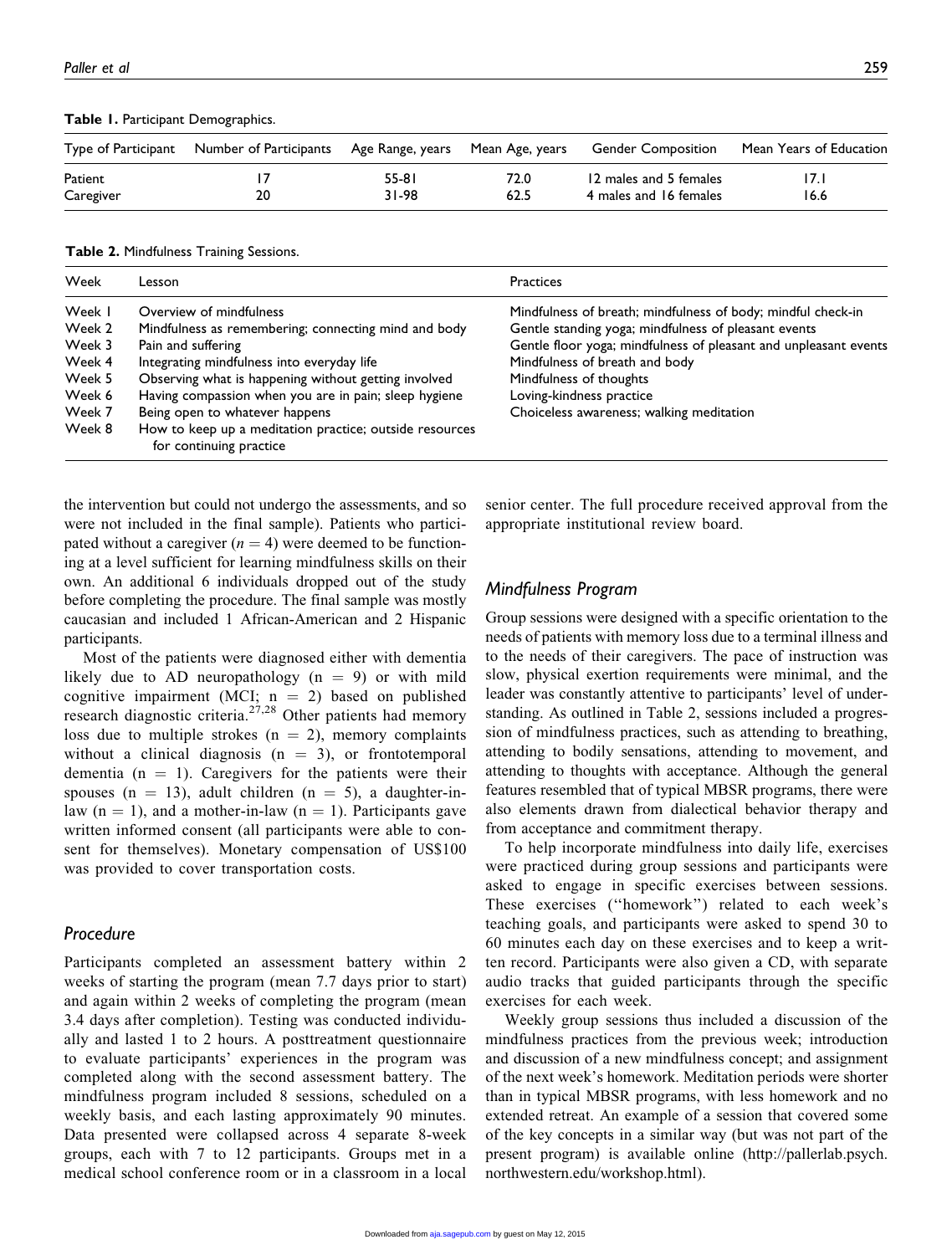|  |  | Table 1. Participant Demographics. |  |
|--|--|------------------------------------|--|
|--|--|------------------------------------|--|

|           | Type of Participant Number of Participants Age Range, years Mean Age, years |           |      | <b>Gender Composition</b> | Mean Years of Education |
|-----------|-----------------------------------------------------------------------------|-----------|------|---------------------------|-------------------------|
| Patient   |                                                                             | 55-81     | 72.0 | 12 males and 5 females    | 17.I                    |
| Caregiver | 20                                                                          | $31 - 98$ | 62.5 | 4 males and 16 females    | 16.6                    |

Table 2. Mindfulness Training Sessions.

| Week   | Lesson                                                  | Practices                                                        |
|--------|---------------------------------------------------------|------------------------------------------------------------------|
| Week I | Overview of mindfulness                                 | Mindfulness of breath; mindfulness of body; mindful check-in     |
| Week 2 | Mindfulness as remembering; connecting mind and body    | Gentle standing yoga; mindfulness of pleasant events             |
| Week 3 | Pain and suffering                                      | Gentle floor yoga; mindfulness of pleasant and unpleasant events |
| Week 4 | Integrating mindfulness into everyday life              | Mindfulness of breath and body                                   |
| Week 5 | Observing what is happening without getting involved    | Mindfulness of thoughts                                          |
| Week 6 | Having compassion when you are in pain; sleep hygiene   | Loving-kindness practice                                         |
| Week 7 | Being open to whatever happens                          | Choiceless awareness; walking meditation                         |
| Week 8 | How to keep up a meditation practice; outside resources |                                                                  |
|        | for continuing practice                                 |                                                                  |

the intervention but could not undergo the assessments, and so were not included in the final sample). Patients who participated without a caregiver  $(n = 4)$  were deemed to be functioning at a level sufficient for learning mindfulness skills on their own. An additional 6 individuals dropped out of the study before completing the procedure. The final sample was mostly caucasian and included 1 African-American and 2 Hispanic participants.

Most of the patients were diagnosed either with dementia likely due to AD neuropathology  $(n = 9)$  or with mild cognitive impairment (MCI;  $n = 2$ ) based on published research diagnostic criteria.<sup>27,28</sup> Other patients had memory loss due to multiple strokes  $(n = 2)$ , memory complaints without a clinical diagnosis ( $n = 3$ ), or frontotemporal dementia ( $n = 1$ ). Caregivers for the patients were their spouses (n = 13), adult children (n = 5), a daughter-inlaw (n = 1), and a mother-in-law (n = 1). Participants gave written informed consent (all participants were able to consent for themselves). Monetary compensation of US\$100 was provided to cover transportation costs.

## Procedure

Participants completed an assessment battery within 2 weeks of starting the program (mean 7.7 days prior to start) and again within 2 weeks of completing the program (mean 3.4 days after completion). Testing was conducted individually and lasted 1 to 2 hours. A posttreatment questionnaire to evaluate participants' experiences in the program was completed along with the second assessment battery. The mindfulness program included 8 sessions, scheduled on a weekly basis, and each lasting approximately 90 minutes. Data presented were collapsed across 4 separate 8-week groups, each with 7 to 12 participants. Groups met in a medical school conference room or in a classroom in a local senior center. The full procedure received approval from the appropriate institutional review board.

## Mindfulness Program

Group sessions were designed with a specific orientation to the needs of patients with memory loss due to a terminal illness and to the needs of their caregivers. The pace of instruction was slow, physical exertion requirements were minimal, and the leader was constantly attentive to participants' level of understanding. As outlined in Table 2, sessions included a progression of mindfulness practices, such as attending to breathing, attending to bodily sensations, attending to movement, and attending to thoughts with acceptance. Although the general features resembled that of typical MBSR programs, there were also elements drawn from dialectical behavior therapy and from acceptance and commitment therapy.

To help incorporate mindfulness into daily life, exercises were practiced during group sessions and participants were asked to engage in specific exercises between sessions. These exercises (''homework'') related to each week's teaching goals, and participants were asked to spend 30 to 60 minutes each day on these exercises and to keep a written record. Participants were also given a CD, with separate audio tracks that guided participants through the specific exercises for each week.

Weekly group sessions thus included a discussion of the mindfulness practices from the previous week; introduction and discussion of a new mindfulness concept; and assignment of the next week's homework. Meditation periods were shorter than in typical MBSR programs, with less homework and no extended retreat. An example of a session that covered some of the key concepts in a similar way (but was not part of the present program) is available online ([http://pallerlab.psych.](http://pallerlab.psych.northwestern.edu/workshop.html) [northwestern.edu/workshop.html\)](http://pallerlab.psych.northwestern.edu/workshop.html).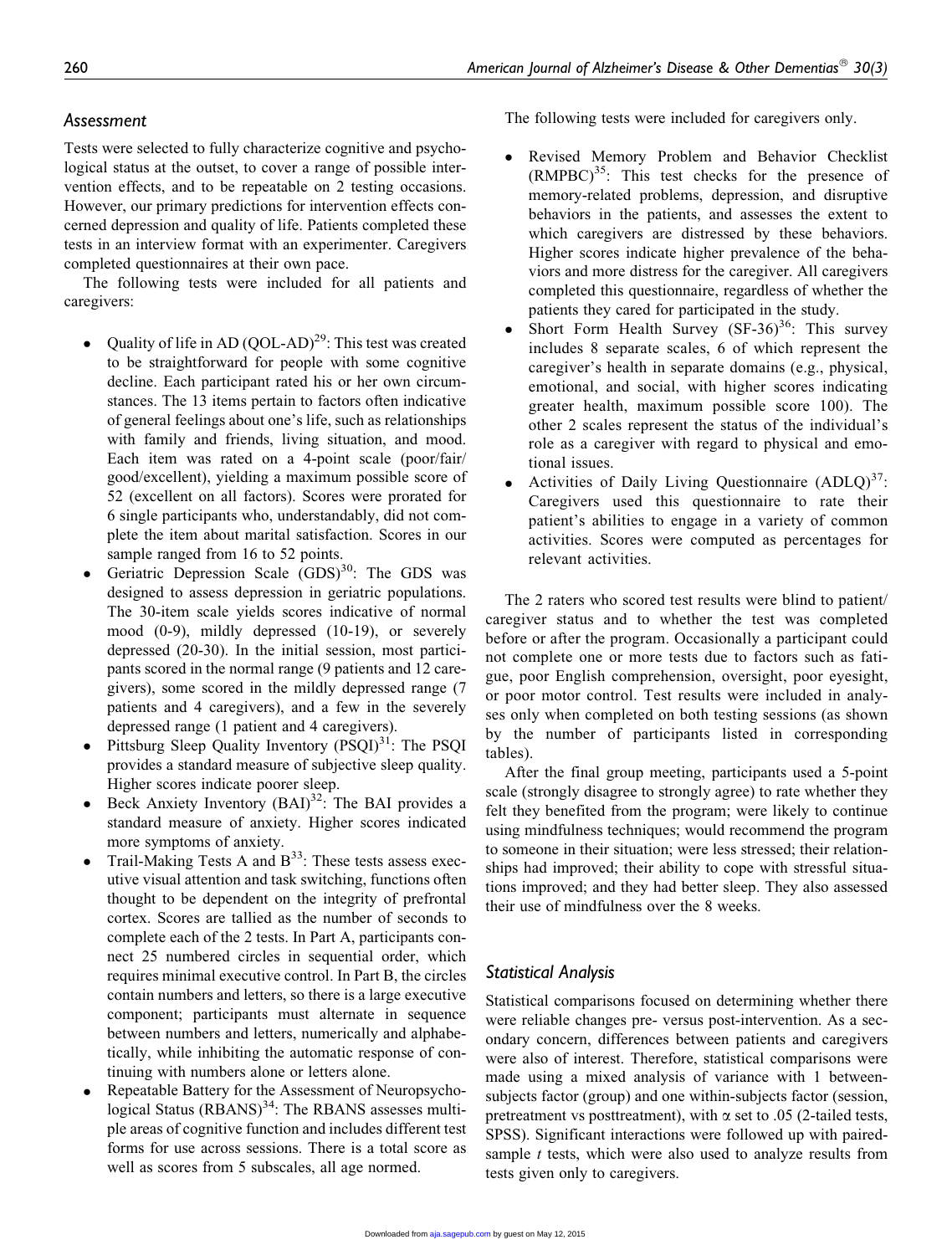## Assessment

Tests were selected to fully characterize cognitive and psychological status at the outset, to cover a range of possible intervention effects, and to be repeatable on 2 testing occasions. However, our primary predictions for intervention effects concerned depression and quality of life. Patients completed these tests in an interview format with an experimenter. Caregivers completed questionnaires at their own pace.

The following tests were included for all patients and caregivers:

- $\bullet$ Quality of life in AD (QOL-AD)<sup>29</sup>: This test was created to be straightforward for people with some cognitive decline. Each participant rated his or her own circumstances. The 13 items pertain to factors often indicative of general feelings about one's life, such as relationships with family and friends, living situation, and mood. Each item was rated on a 4-point scale (poor/fair/ good/excellent), yielding a maximum possible score of 52 (excellent on all factors). Scores were prorated for 6 single participants who, understandably, did not complete the item about marital satisfaction. Scores in our sample ranged from 16 to 52 points.
- $\bullet$ Geriatric Depression Scale  $(GDS)^{30}$ : The GDS was designed to assess depression in geriatric populations. The 30-item scale yields scores indicative of normal mood (0-9), mildly depressed (10-19), or severely depressed (20-30). In the initial session, most participants scored in the normal range (9 patients and 12 caregivers), some scored in the mildly depressed range (7 patients and 4 caregivers), and a few in the severely depressed range (1 patient and 4 caregivers).
- $\bullet$ Pittsburg Sleep Quality Inventory  $(PSQI)^{31}$ : The PSQI provides a standard measure of subjective sleep quality. Higher scores indicate poorer sleep.
- $\bullet$ Beck Anxiety Inventory  $(BAI)^{32}$ : The BAI provides a standard measure of anxiety. Higher scores indicated more symptoms of anxiety.
- $\bullet$ Trail-Making Tests A and  $B^{33}$ : These tests assess executive visual attention and task switching, functions often thought to be dependent on the integrity of prefrontal cortex. Scores are tallied as the number of seconds to complete each of the 2 tests. In Part A, participants connect 25 numbered circles in sequential order, which requires minimal executive control. In Part B, the circles contain numbers and letters, so there is a large executive component; participants must alternate in sequence between numbers and letters, numerically and alphabetically, while inhibiting the automatic response of continuing with numbers alone or letters alone.
- $\bullet$  Repeatable Battery for the Assessment of Neuropsychological Status  $(RBANS)^{34}$ : The RBANS assesses multiple areas of cognitive function and includes different test forms for use across sessions. There is a total score as well as scores from 5 subscales, all age normed.

The following tests were included for caregivers only.

- $\bullet$  Revised Memory Problem and Behavior Checklist  $(RMPBC)^{35}$ : This test checks for the presence of memory-related problems, depression, and disruptive behaviors in the patients, and assesses the extent to which caregivers are distressed by these behaviors. Higher scores indicate higher prevalence of the behaviors and more distress for the caregiver. All caregivers completed this questionnaire, regardless of whether the patients they cared for participated in the study.
- $\bullet$ Short Form Health Survey  $(SF-36)^{36}$ : This survey includes 8 separate scales, 6 of which represent the caregiver's health in separate domains (e.g., physical, emotional, and social, with higher scores indicating greater health, maximum possible score 100). The other 2 scales represent the status of the individual's role as a caregiver with regard to physical and emotional issues.
- $\bullet$ Activities of Daily Living Questionnaire  $(ADLQ)^{37}$ : Caregivers used this questionnaire to rate their patient's abilities to engage in a variety of common activities. Scores were computed as percentages for relevant activities.

The 2 raters who scored test results were blind to patient/ caregiver status and to whether the test was completed before or after the program. Occasionally a participant could not complete one or more tests due to factors such as fatigue, poor English comprehension, oversight, poor eyesight, or poor motor control. Test results were included in analyses only when completed on both testing sessions (as shown by the number of participants listed in corresponding tables).

After the final group meeting, participants used a 5-point scale (strongly disagree to strongly agree) to rate whether they felt they benefited from the program; were likely to continue using mindfulness techniques; would recommend the program to someone in their situation; were less stressed; their relationships had improved; their ability to cope with stressful situations improved; and they had better sleep. They also assessed their use of mindfulness over the 8 weeks.

# Statistical Analysis

Statistical comparisons focused on determining whether there were reliable changes pre- versus post-intervention. As a secondary concern, differences between patients and caregivers were also of interest. Therefore, statistical comparisons were made using a mixed analysis of variance with 1 betweensubjects factor (group) and one within-subjects factor (session, pretreatment vs posttreatment), with  $\alpha$  set to .05 (2-tailed tests, SPSS). Significant interactions were followed up with pairedsample *t* tests, which were also used to analyze results from tests given only to caregivers.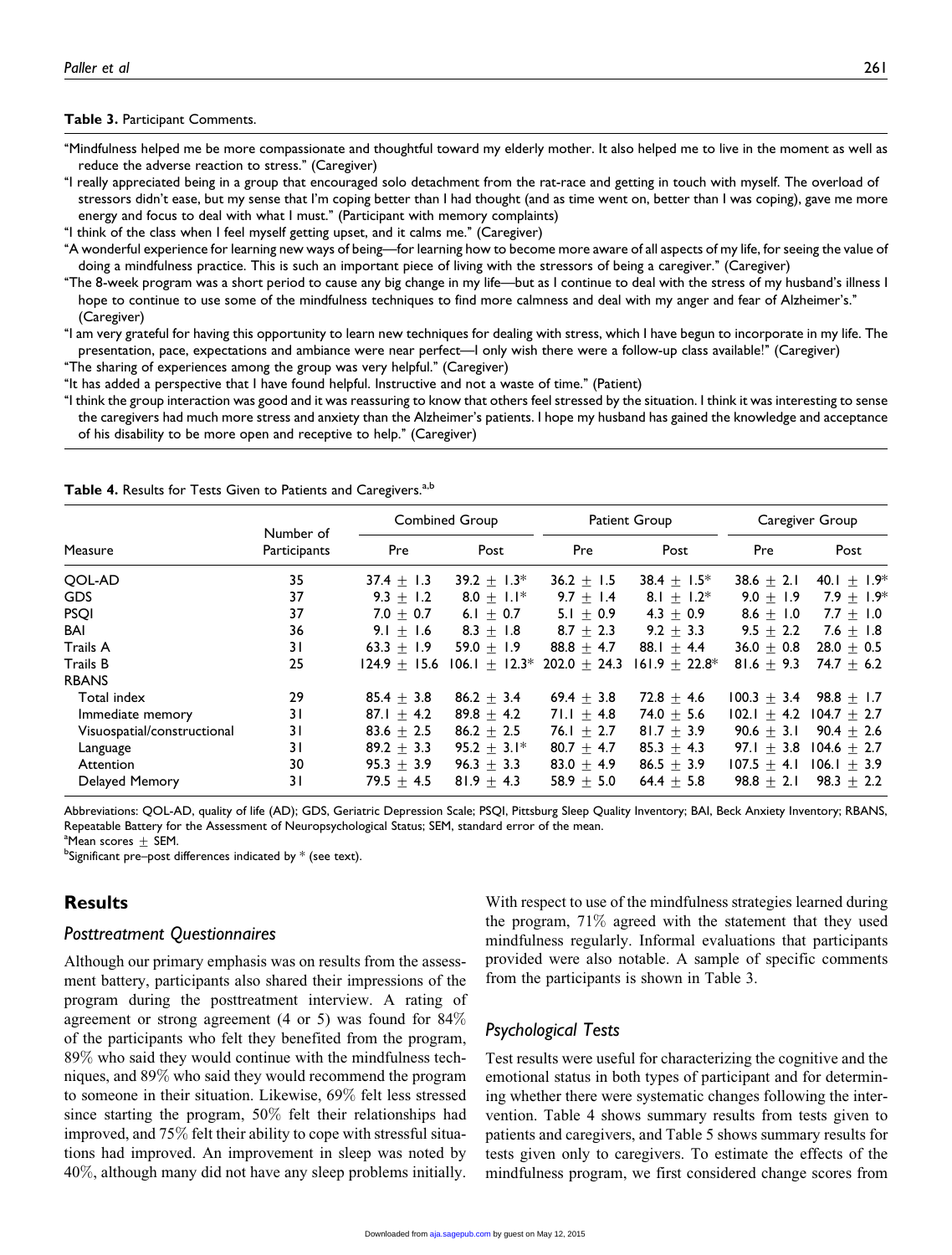#### Table 3. Participant Comments.

''Mindfulness helped me be more compassionate and thoughtful toward my elderly mother. It also helped me to live in the moment as well as reduce the adverse reaction to stress.'' (Caregiver)

''I really appreciated being in a group that encouraged solo detachment from the rat-race and getting in touch with myself. The overload of stressors didn't ease, but my sense that I'm coping better than I had thought (and as time went on, better than I was coping), gave me more energy and focus to deal with what I must." (Participant with memory complaints)

"I think of the class when I feel myself getting upset, and it calms me." (Caregiver)

''A wonderful experience for learning new ways of being—for learning how to become more aware of all aspects of my life, for seeing the value of doing a mindfulness practice. This is such an important piece of living with the stressors of being a caregiver." (Caregiver)

''The 8-week program was a short period to cause any big change in my life—but as I continue to deal with the stress of my husband's illness I hope to continue to use some of the mindfulness techniques to find more calmness and deal with my anger and fear of Alzheimer's.'' (Caregiver)

''I am very grateful for having this opportunity to learn new techniques for dealing with stress, which I have begun to incorporate in my life. The presentation, pace, expectations and ambiance were near perfect—I only wish there were a follow-up class available!'' (Caregiver) "The sharing of experiences among the group was very helpful." (Caregiver)

''It has added a perspective that I have found helpful. Instructive and not a waste of time.'' (Patient)

''I think the group interaction was good and it was reassuring to know that others feel stressed by the situation. I think it was interesting to sense the caregivers had much more stress and anxiety than the Alzheimer's patients. I hope my husband has gained the knowledge and acceptance of his disability to be more open and receptive to help.'' (Caregiver)

|  |  |  |  |  |  | Table 4. Results for Tests Given to Patients and Caregivers. <sup>a,b</sup> |
|--|--|--|--|--|--|-----------------------------------------------------------------------------|
|--|--|--|--|--|--|-----------------------------------------------------------------------------|

|                             | Number of<br>Participants | <b>Combined Group</b> |                              | Patient Group  |                  | Caregiver Group |                 |
|-----------------------------|---------------------------|-----------------------|------------------------------|----------------|------------------|-----------------|-----------------|
| Measure                     |                           | Pre                   | Post                         | Pre            | Post             | Pre             | Post            |
| <b>OOL-AD</b>               | 35                        | $37.4 + 1.3$          | $39.2 + 1.3*$                | $36.2 + 1.5$   | $38.4 + 1.5*$    | 38.6 $\pm$ 2.1  | $40.1 + 1.9*$   |
| <b>GDS</b>                  | 37                        | $9.3 + 1.2$           | $8.0 + 1.1*$                 | 9.7 $\pm$ 1.4  | $8.1 + 1.2*$     | 9.0 $\pm$ 1.9   | $7.9 + 1.9*$    |
| <b>PSQI</b>                 | 37                        | $7.0 + 0.7$           | $6.1 + 0.7$                  | $5.1 + 0.9$    | $4.3 + 0.9$      | $8.6 + 1.0$     | 7.7 $\pm$ 1.0   |
| <b>BAI</b>                  | 36                        | $9.1 + 1.6$           | $8.3 + 1.8$                  | $8.7 + 2.3$    | $9.2 + 3.3$      | $9.5 + 2.2$     | $7.6 + 1.8$     |
| Trails A                    | 31                        | $63.3 + 1.9$          | $59.0 + 1.9$                 | 88.8 $\pm$ 4.7 | $88.1 + 4.4$     | $36.0 + 0.8$    | $28.0 + 0.5$    |
| Trails B                    | 25                        | $124.9 + 15.6$        | $106.1 + 12.3* 202.0 + 24.3$ |                | $161.9 + 22.8^*$ | $81.6 + 9.3$    | $74.7 + 6.2$    |
| <b>RBANS</b>                |                           |                       |                              |                |                  |                 |                 |
| Total index                 | 29                        | $85.4 \pm 3.8$        | $86.2 + 3.4$                 | $69.4 + 3.8$   | 72.8 $\pm$ 4.6   | $100.3 + 3.4$   | 98.8 $\pm$ 1.7  |
| Immediate memory            | 31                        | 87.1 $\pm$ 4.2        | $89.8 + 4.2$                 | $71.1 + 4.8$   | 74.0 $\pm$ 5.6   | $102.1 \pm 4.2$ | $104.7 \pm 2.7$ |
| Visuospatial/constructional | 31                        | $83.6 + 2.5$          | 86.2 $\pm$ 2.5               | $76.1 + 2.7$   | $81.7 + 3.9$     | $90.6 + 3.1$    | $90.4 + 2.6$    |
| Language                    | 31                        | $89.2 + 3.3$          | $95.2 + 3.1*$                | $80.7 + 4.7$   | $85.3 + 4.3$     | $97.1 + 3.8$    | $104.6 + 2.7$   |
| <b>Attention</b>            | 30                        | $95.3 + 3.9$          | $96.3 + 3.3$                 | 83.0 $\pm$ 4.9 | $86.5 + 3.9$     | $107.5 + 4.1$   | $106.1 + 3.9$   |
| Delayed Memory              | 31                        | $79.5 + 4.5$          | 81.9 $\pm$ 4.3               | $58.9 + 5.0$   | $64.4 + 5.8$     | $98.8 + 2.1$    | $98.3 + 2.2$    |

Abbreviations: QOL-AD, quality of life (AD); GDS, Geriatric Depression Scale; PSQI, Pittsburg Sleep Quality Inventory; BAI, Beck Anxiety Inventory; RBANS, Repeatable Battery for the Assessment of Neuropsychological Status; SEM, standard error of the mean.

<sup>a</sup> Mean scores  $\pm$  SEM.<br>**bSignificant pro-post** d

 $\mathrm{^{b}Significant}$  pre–post differences indicated by  $\mathrm{*}$  (see text).

## Results

#### Posttreatment Questionnaires

Although our primary emphasis was on results from the assessment battery, participants also shared their impressions of the program during the posttreatment interview. A rating of agreement or strong agreement (4 or 5) was found for 84% of the participants who felt they benefited from the program, 89% who said they would continue with the mindfulness techniques, and 89% who said they would recommend the program to someone in their situation. Likewise, 69% felt less stressed since starting the program, 50% felt their relationships had improved, and 75% felt their ability to cope with stressful situations had improved. An improvement in sleep was noted by 40%, although many did not have any sleep problems initially.

With respect to use of the mindfulness strategies learned during the program, 71% agreed with the statement that they used mindfulness regularly. Informal evaluations that participants provided were also notable. A sample of specific comments from the participants is shown in Table 3.

## Psychological Tests

Test results were useful for characterizing the cognitive and the emotional status in both types of participant and for determining whether there were systematic changes following the intervention. Table 4 shows summary results from tests given to patients and caregivers, and Table 5 shows summary results for tests given only to caregivers. To estimate the effects of the mindfulness program, we first considered change scores from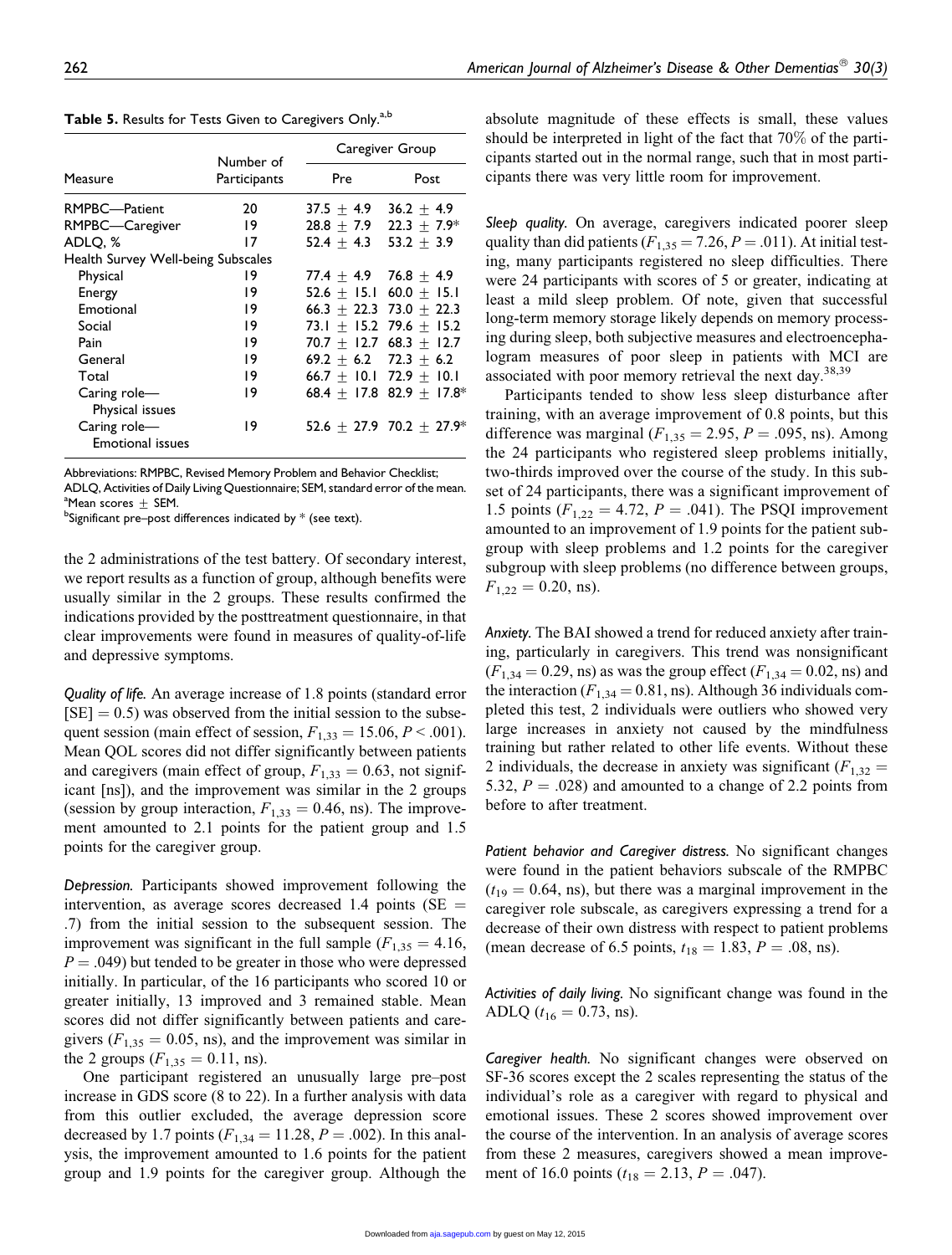Table 5. Results for Tests Given to Caregivers Only.<sup>a,b</sup>

|                                    | Number of       | Caregiver Group           |                            |  |  |
|------------------------------------|-----------------|---------------------------|----------------------------|--|--|
| Measure                            | Participants    | Pre                       | Post                       |  |  |
| RMPBC—Patient                      | 20              | $37.5 + 4.9$              | $36.2 \pm 4.9$             |  |  |
| RMPBC-Caregiver                    | 19 <sup>°</sup> | $28.8 + 7.9$              | $22.3 \pm 7.9^*$           |  |  |
| ADLO, %                            | 17              | $52.4 + 4.3$              | 53.2 $\pm$ 3.9             |  |  |
| Health Survey Well-being Subscales |                 |                           |                            |  |  |
| Physical                           | 19              | $77.4 + 4.9$ $76.8 + 4.9$ |                            |  |  |
| Energy                             | 19              | $52.6 + 15.1 60.0 + 15.1$ |                            |  |  |
| Emotional                          | 19              |                           | $66.3 + 22.3$ 73.0 + 22.3  |  |  |
| Social                             | 19              |                           | $73.1 + 15.2$ 79.6 + 15.2  |  |  |
| Pain                               | 19              |                           | $70.7 + 12.7$ 68.3 + 12.7  |  |  |
| General                            | 19              | $69.2 + 6.2$ 72.3 + 6.2   |                            |  |  |
| Total                              | 19              |                           | $66.7 + 10.1$ 72.9 + 10.1  |  |  |
| Caring role-                       | $\overline{19}$ |                           | $68.4 + 17.8$ 82.9 + 17.8* |  |  |
| Physical issues                    |                 |                           |                            |  |  |
| Caring role-                       | 19              |                           | $52.6 + 27.9$ 70.2 + 27.9* |  |  |
| <b>Emotional issues</b>            |                 |                           |                            |  |  |

Abbreviations: RMPBC, Revised Memory Problem and Behavior Checklist;

ADLQ, Activities of Daily Living Questionnaire; SEM, standard error of the mean. <sup>a</sup>Mean scores  $\pm$  SEM.<br><sup>b</sup>Significant pro-post d

 $\mathrm{^{b}S}$ ignificant pre–post differences indicated by  $\mathrm{*}$  (see text).

the 2 administrations of the test battery. Of secondary interest, we report results as a function of group, although benefits were usually similar in the 2 groups. These results confirmed the indications provided by the posttreatment questionnaire, in that clear improvements were found in measures of quality-of-life and depressive symptoms.

Quality of life. An average increase of 1.8 points (standard error  $[SE] = 0.5$ ) was observed from the initial session to the subsequent session (main effect of session,  $F_{1,33} = 15.06, P < .001$ ). Mean QOL scores did not differ significantly between patients and caregivers (main effect of group,  $F_{1,33} = 0.63$ , not significant [ns]), and the improvement was similar in the 2 groups (session by group interaction,  $F_{1,33} = 0.46$ , ns). The improvement amounted to 2.1 points for the patient group and 1.5 points for the caregiver group.

Depression. Participants showed improvement following the intervention, as average scores decreased 1.4 points ( $SE =$ .7) from the initial session to the subsequent session. The improvement was significant in the full sample ( $F_{1,35} = 4.16$ ,  $P = .049$ ) but tended to be greater in those who were depressed initially. In particular, of the 16 participants who scored 10 or greater initially, 13 improved and 3 remained stable. Mean scores did not differ significantly between patients and caregivers ( $F_{1,35} = 0.05$ , ns), and the improvement was similar in the 2 groups ( $F_{1,35} = 0.11$ , ns).

One participant registered an unusually large pre–post increase in GDS score (8 to 22). In a further analysis with data from this outlier excluded, the average depression score decreased by 1.7 points ( $F_{1,34} = 11.28, P = .002$ ). In this analysis, the improvement amounted to 1.6 points for the patient group and 1.9 points for the caregiver group. Although the absolute magnitude of these effects is small, these values should be interpreted in light of the fact that 70% of the participants started out in the normal range, such that in most participants there was very little room for improvement.

Sleep quality. On average, caregivers indicated poorer sleep quality than did patients ( $F_{1,35} = 7.26$ ,  $P = .011$ ). At initial testing, many participants registered no sleep difficulties. There were 24 participants with scores of 5 or greater, indicating at least a mild sleep problem. Of note, given that successful long-term memory storage likely depends on memory processing during sleep, both subjective measures and electroencephalogram measures of poor sleep in patients with MCI are associated with poor memory retrieval the next day. $38,39$ 

Participants tended to show less sleep disturbance after training, with an average improvement of 0.8 points, but this difference was marginal ( $F_{1,35} = 2.95$ ,  $P = .095$ , ns). Among the 24 participants who registered sleep problems initially, two-thirds improved over the course of the study. In this subset of 24 participants, there was a significant improvement of 1.5 points ( $F_{1,22} = 4.72$ ,  $P = .041$ ). The PSQI improvement amounted to an improvement of 1.9 points for the patient subgroup with sleep problems and 1.2 points for the caregiver subgroup with sleep problems (no difference between groups,  $F_{1,22} = 0.20$ , ns).

Anxiety. The BAI showed a trend for reduced anxiety after training, particularly in caregivers. This trend was nonsignificant  $(F_{1,34} = 0.29, \text{ns})$  as was the group effect  $(F_{1,34} = 0.02, \text{ns})$  and the interaction ( $F_{1,34} = 0.81$ , ns). Although 36 individuals completed this test, 2 individuals were outliers who showed very large increases in anxiety not caused by the mindfulness training but rather related to other life events. Without these 2 individuals, the decrease in anxiety was significant ( $F_{1,32}$  = 5.32,  $P = .028$ ) and amounted to a change of 2.2 points from before to after treatment.

Patient behavior and Caregiver distress. No significant changes were found in the patient behaviors subscale of the RMPBC  $(t_{19} = 0.64, \text{ns})$ , but there was a marginal improvement in the caregiver role subscale, as caregivers expressing a trend for a decrease of their own distress with respect to patient problems (mean decrease of 6.5 points,  $t_{18} = 1.83, P = .08, \text{ns}$ ).

Activities of daily living. No significant change was found in the ADLQ ( $t_{16} = 0.73$ , ns).

Caregiver health. No significant changes were observed on SF-36 scores except the 2 scales representing the status of the individual's role as a caregiver with regard to physical and emotional issues. These 2 scores showed improvement over the course of the intervention. In an analysis of average scores from these 2 measures, caregivers showed a mean improvement of 16.0 points ( $t_{18} = 2.13, P = .047$ ).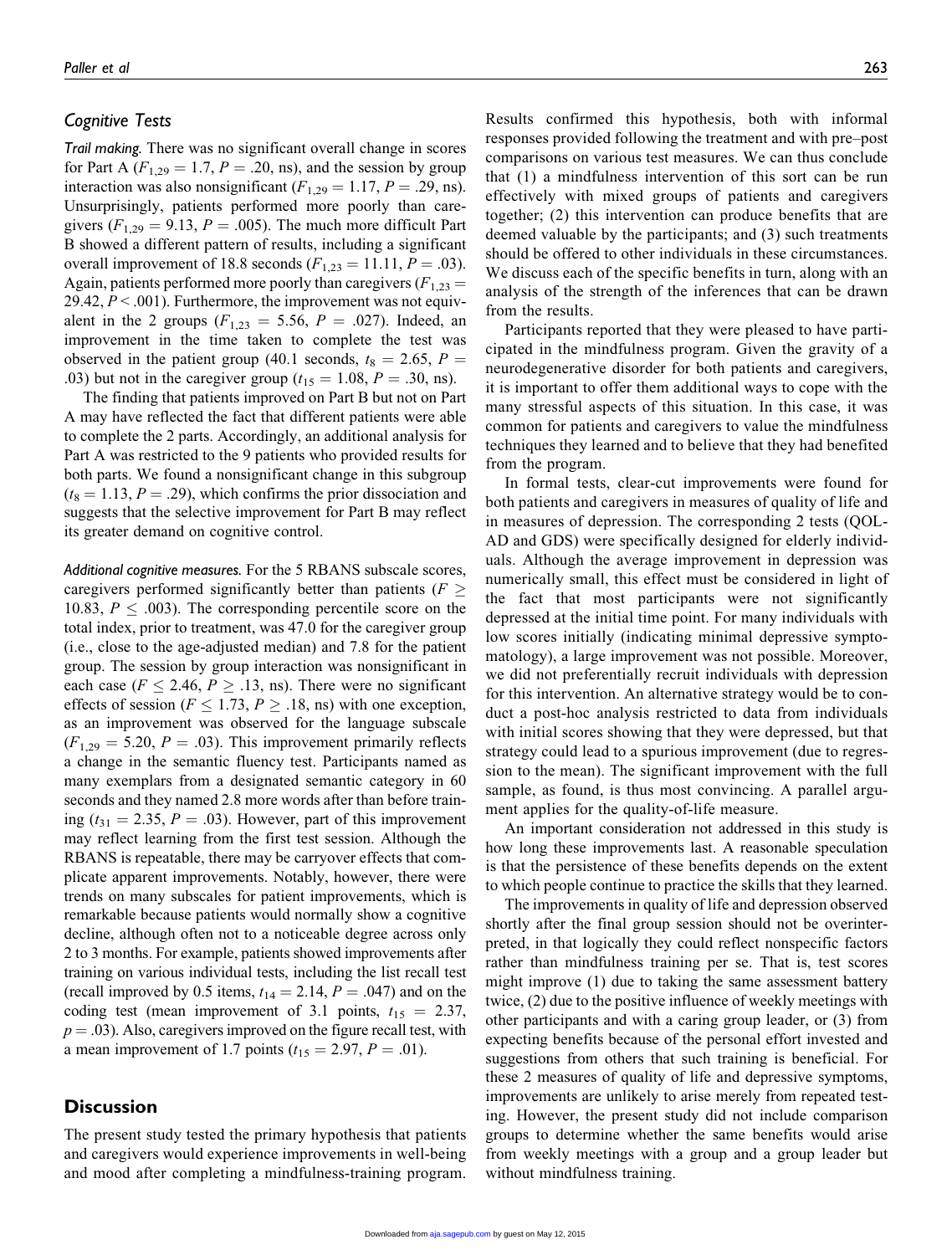## Cognitive Tests

Trail making. There was no significant overall change in scores for Part A ( $F_{1,29} = 1.7, P = .20$ , ns), and the session by group interaction was also nonsignificant  $(F_{1,29} = 1.17, P = .29, \text{ns}).$ Unsurprisingly, patients performed more poorly than caregivers ( $F_{1,29} = 9.13$ ,  $P = .005$ ). The much more difficult Part B showed a different pattern of results, including a significant overall improvement of 18.8 seconds ( $F_{1,23} = 11.11, P = .03$ ). Again, patients performed more poorly than caregivers ( $F_{1,23} =$ 29.42,  $P < .001$ ). Furthermore, the improvement was not equivalent in the 2 groups ( $F_{1,23} = 5.56$ ,  $P = .027$ ). Indeed, an improvement in the time taken to complete the test was observed in the patient group (40.1 seconds,  $t_8 = 2.65$ ,  $P =$ .03) but not in the caregiver group ( $t_{15} = 1.08, P = .30, \text{ns}$ ).

The finding that patients improved on Part B but not on Part A may have reflected the fact that different patients were able to complete the 2 parts. Accordingly, an additional analysis for Part A was restricted to the 9 patients who provided results for both parts. We found a nonsignificant change in this subgroup  $(t<sub>8</sub> = 1.13, P = .29)$ , which confirms the prior dissociation and suggests that the selective improvement for Part B may reflect its greater demand on cognitive control.

Additional cognitive measures. For the 5 RBANS subscale scores, caregivers performed significantly better than patients ( $F \geq$ 10.83,  $P \leq .003$ ). The corresponding percentile score on the total index, prior to treatment, was 47.0 for the caregiver group (i.e., close to the age-adjusted median) and 7.8 for the patient group. The session by group interaction was nonsignificant in each case ( $F \le 2.46$ ,  $P \ge .13$ , ns). There were no significant effects of session ( $F \leq 1.73$ ,  $P \geq .18$ , ns) with one exception, as an improvement was observed for the language subscale  $(F_{1,29} = 5.20, P = .03)$ . This improvement primarily reflects a change in the semantic fluency test. Participants named as many exemplars from a designated semantic category in 60 seconds and they named 2.8 more words after than before training ( $t_{31} = 2.35$ ,  $P = .03$ ). However, part of this improvement may reflect learning from the first test session. Although the RBANS is repeatable, there may be carryover effects that complicate apparent improvements. Notably, however, there were trends on many subscales for patient improvements, which is remarkable because patients would normally show a cognitive decline, although often not to a noticeable degree across only 2 to 3 months. For example, patients showed improvements after training on various individual tests, including the list recall test (recall improved by 0.5 items,  $t_{14} = 2.14$ ,  $P = .047$ ) and on the coding test (mean improvement of 3.1 points,  $t_{15} = 2.37$ ,  $p = .03$ ). Also, caregivers improved on the figure recall test, with a mean improvement of 1.7 points ( $t_{15} = 2.97, P = .01$ ).

## **Discussion**

The present study tested the primary hypothesis that patients and caregivers would experience improvements in well-being and mood after completing a mindfulness-training program. Results confirmed this hypothesis, both with informal responses provided following the treatment and with pre–post comparisons on various test measures. We can thus conclude that (1) a mindfulness intervention of this sort can be run effectively with mixed groups of patients and caregivers together; (2) this intervention can produce benefits that are deemed valuable by the participants; and (3) such treatments should be offered to other individuals in these circumstances. We discuss each of the specific benefits in turn, along with an analysis of the strength of the inferences that can be drawn from the results.

Participants reported that they were pleased to have participated in the mindfulness program. Given the gravity of a neurodegenerative disorder for both patients and caregivers, it is important to offer them additional ways to cope with the many stressful aspects of this situation. In this case, it was common for patients and caregivers to value the mindfulness techniques they learned and to believe that they had benefited from the program.

In formal tests, clear-cut improvements were found for both patients and caregivers in measures of quality of life and in measures of depression. The corresponding 2 tests (QOL-AD and GDS) were specifically designed for elderly individuals. Although the average improvement in depression was numerically small, this effect must be considered in light of the fact that most participants were not significantly depressed at the initial time point. For many individuals with low scores initially (indicating minimal depressive symptomatology), a large improvement was not possible. Moreover, we did not preferentially recruit individuals with depression for this intervention. An alternative strategy would be to conduct a post-hoc analysis restricted to data from individuals with initial scores showing that they were depressed, but that strategy could lead to a spurious improvement (due to regression to the mean). The significant improvement with the full sample, as found, is thus most convincing. A parallel argument applies for the quality-of-life measure.

An important consideration not addressed in this study is how long these improvements last. A reasonable speculation is that the persistence of these benefits depends on the extent to which people continue to practice the skills that they learned.

The improvements in quality of life and depression observed shortly after the final group session should not be overinterpreted, in that logically they could reflect nonspecific factors rather than mindfulness training per se. That is, test scores might improve (1) due to taking the same assessment battery twice, (2) due to the positive influence of weekly meetings with other participants and with a caring group leader, or (3) from expecting benefits because of the personal effort invested and suggestions from others that such training is beneficial. For these 2 measures of quality of life and depressive symptoms, improvements are unlikely to arise merely from repeated testing. However, the present study did not include comparison groups to determine whether the same benefits would arise from weekly meetings with a group and a group leader but without mindfulness training.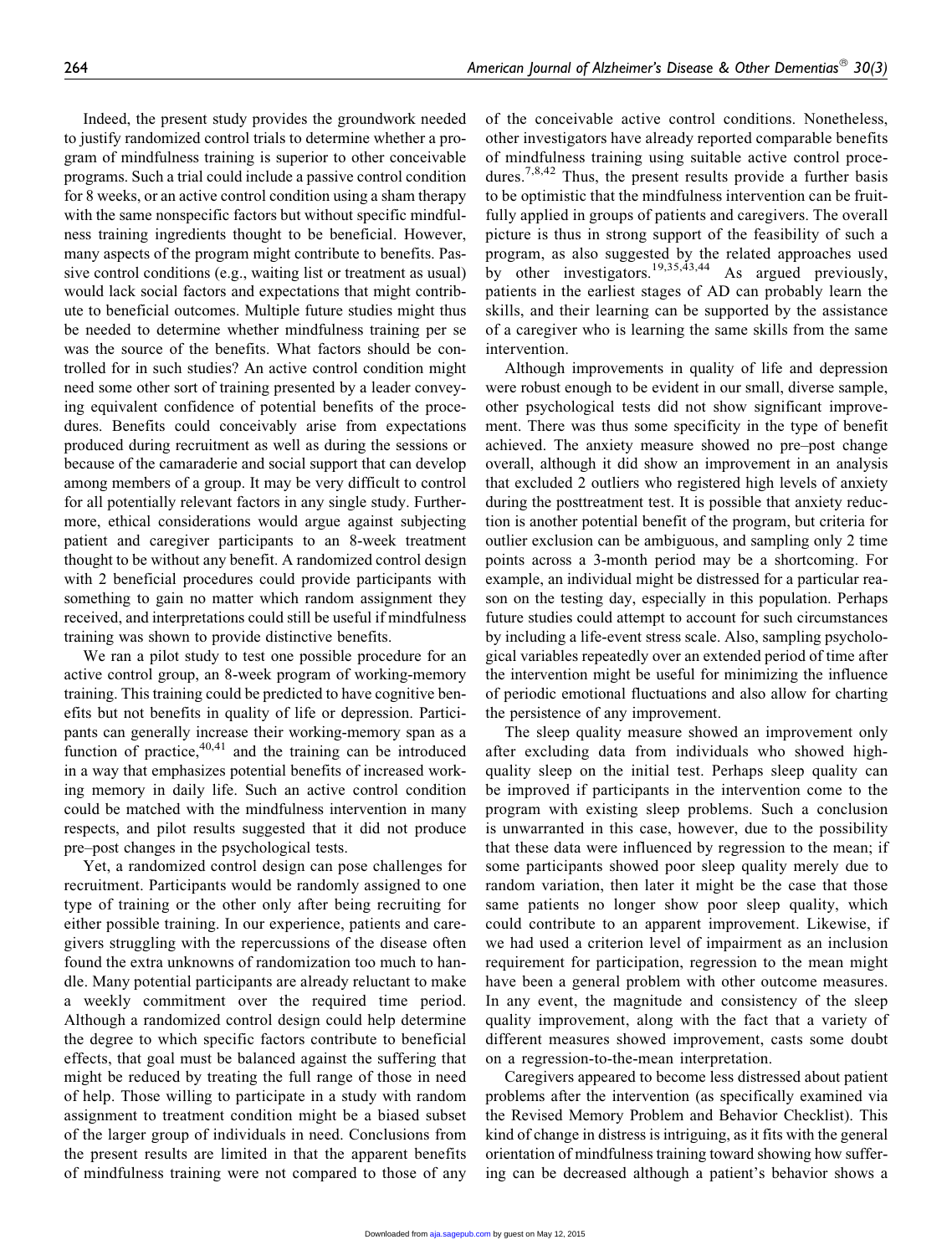Indeed, the present study provides the groundwork needed to justify randomized control trials to determine whether a program of mindfulness training is superior to other conceivable programs. Such a trial could include a passive control condition for 8 weeks, or an active control condition using a sham therapy with the same nonspecific factors but without specific mindfulness training ingredients thought to be beneficial. However, many aspects of the program might contribute to benefits. Passive control conditions (e.g., waiting list or treatment as usual) would lack social factors and expectations that might contribute to beneficial outcomes. Multiple future studies might thus be needed to determine whether mindfulness training per se was the source of the benefits. What factors should be controlled for in such studies? An active control condition might need some other sort of training presented by a leader conveying equivalent confidence of potential benefits of the procedures. Benefits could conceivably arise from expectations produced during recruitment as well as during the sessions or because of the camaraderie and social support that can develop among members of a group. It may be very difficult to control for all potentially relevant factors in any single study. Furthermore, ethical considerations would argue against subjecting patient and caregiver participants to an 8-week treatment thought to be without any benefit. A randomized control design with 2 beneficial procedures could provide participants with something to gain no matter which random assignment they received, and interpretations could still be useful if mindfulness training was shown to provide distinctive benefits.

We ran a pilot study to test one possible procedure for an active control group, an 8-week program of working-memory training. This training could be predicted to have cognitive benefits but not benefits in quality of life or depression. Participants can generally increase their working-memory span as a function of practice, $40,41$  and the training can be introduced in a way that emphasizes potential benefits of increased working memory in daily life. Such an active control condition could be matched with the mindfulness intervention in many respects, and pilot results suggested that it did not produce pre–post changes in the psychological tests.

Yet, a randomized control design can pose challenges for recruitment. Participants would be randomly assigned to one type of training or the other only after being recruiting for either possible training. In our experience, patients and caregivers struggling with the repercussions of the disease often found the extra unknowns of randomization too much to handle. Many potential participants are already reluctant to make a weekly commitment over the required time period. Although a randomized control design could help determine the degree to which specific factors contribute to beneficial effects, that goal must be balanced against the suffering that might be reduced by treating the full range of those in need of help. Those willing to participate in a study with random assignment to treatment condition might be a biased subset of the larger group of individuals in need. Conclusions from the present results are limited in that the apparent benefits of mindfulness training were not compared to those of any

of the conceivable active control conditions. Nonetheless, other investigators have already reported comparable benefits of mindfulness training using suitable active control procedures.<sup>7,8,42</sup> Thus, the present results provide a further basis to be optimistic that the mindfulness intervention can be fruitfully applied in groups of patients and caregivers. The overall picture is thus in strong support of the feasibility of such a program, as also suggested by the related approaches used by other investigators.<sup>19,35,43,44</sup> As argued previously, patients in the earliest stages of AD can probably learn the skills, and their learning can be supported by the assistance of a caregiver who is learning the same skills from the same intervention.

Although improvements in quality of life and depression were robust enough to be evident in our small, diverse sample, other psychological tests did not show significant improvement. There was thus some specificity in the type of benefit achieved. The anxiety measure showed no pre–post change overall, although it did show an improvement in an analysis that excluded 2 outliers who registered high levels of anxiety during the posttreatment test. It is possible that anxiety reduction is another potential benefit of the program, but criteria for outlier exclusion can be ambiguous, and sampling only 2 time points across a 3-month period may be a shortcoming. For example, an individual might be distressed for a particular reason on the testing day, especially in this population. Perhaps future studies could attempt to account for such circumstances by including a life-event stress scale. Also, sampling psychological variables repeatedly over an extended period of time after the intervention might be useful for minimizing the influence of periodic emotional fluctuations and also allow for charting the persistence of any improvement.

The sleep quality measure showed an improvement only after excluding data from individuals who showed highquality sleep on the initial test. Perhaps sleep quality can be improved if participants in the intervention come to the program with existing sleep problems. Such a conclusion is unwarranted in this case, however, due to the possibility that these data were influenced by regression to the mean; if some participants showed poor sleep quality merely due to random variation, then later it might be the case that those same patients no longer show poor sleep quality, which could contribute to an apparent improvement. Likewise, if we had used a criterion level of impairment as an inclusion requirement for participation, regression to the mean might have been a general problem with other outcome measures. In any event, the magnitude and consistency of the sleep quality improvement, along with the fact that a variety of different measures showed improvement, casts some doubt on a regression-to-the-mean interpretation.

Caregivers appeared to become less distressed about patient problems after the intervention (as specifically examined via the Revised Memory Problem and Behavior Checklist). This kind of change in distress is intriguing, as it fits with the general orientation of mindfulness training toward showing how suffering can be decreased although a patient's behavior shows a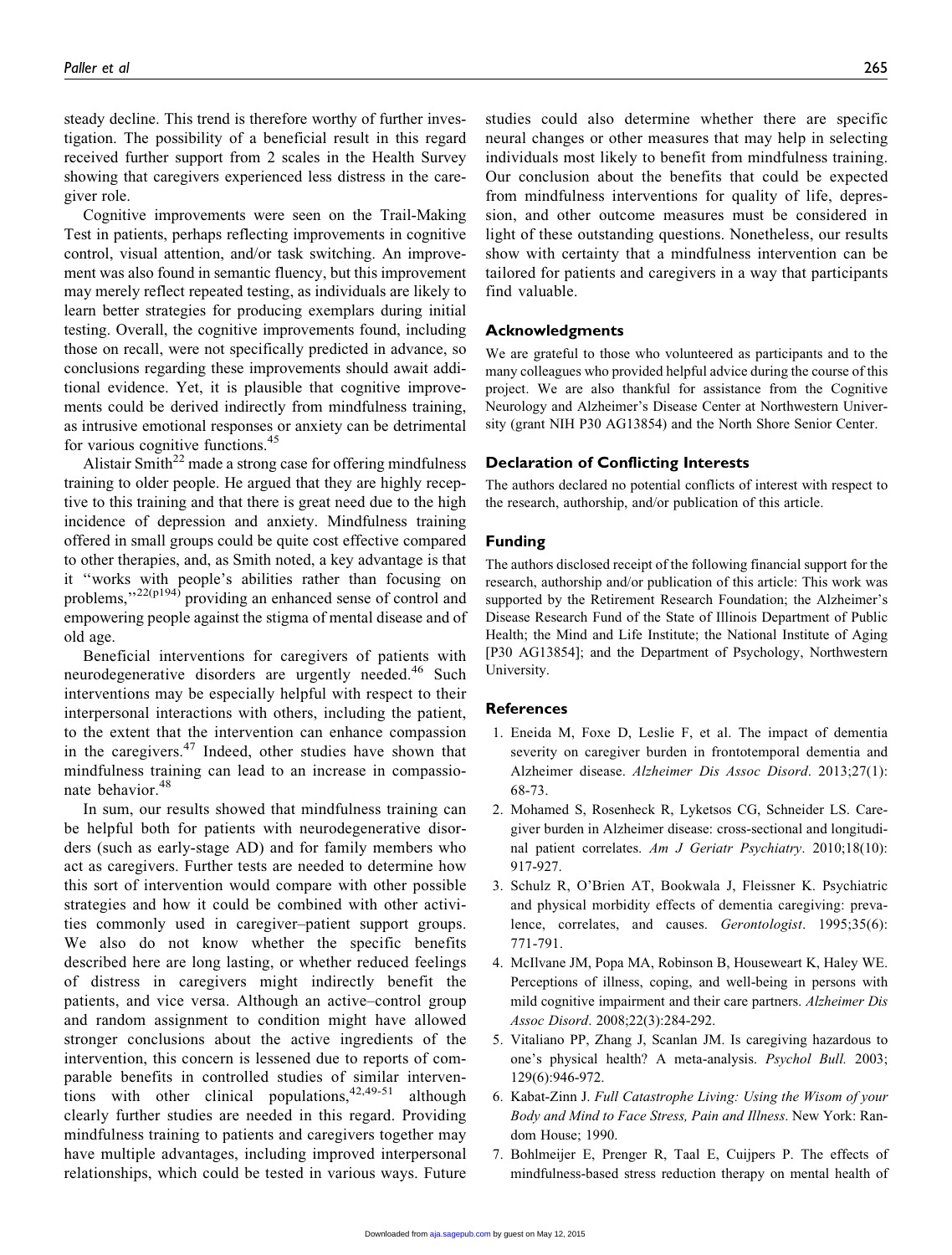steady decline. This trend is therefore worthy of further investigation. The possibility of a beneficial result in this regard received further support from 2 scales in the Health Survey showing that caregivers experienced less distress in the caregiver role.

Cognitive improvements were seen on the Trail-Making Test in patients, perhaps reflecting improvements in cognitive control, visual attention, and/or task switching. An improvement was also found in semantic fluency, but this improvement may merely reflect repeated testing, as individuals are likely to learn better strategies for producing exemplars during initial testing. Overall, the cognitive improvements found, including those on recall, were not specifically predicted in advance, so conclusions regarding these improvements should await additional evidence. Yet, it is plausible that cognitive improvements could be derived indirectly from mindfulness training, as intrusive emotional responses or anxiety can be detrimental for various cognitive functions.<sup>45</sup>

Alistair Smith<sup>22</sup> made a strong case for offering mindfulness training to older people. He argued that they are highly receptive to this training and that there is great need due to the high incidence of depression and anxiety. Mindfulness training offered in small groups could be quite cost effective compared to other therapies, and, as Smith noted, a key advantage is that it ''works with people's abilities rather than focusing on problems," $^{22(p194)}$  providing an enhanced sense of control and empowering people against the stigma of mental disease and of old age.

Beneficial interventions for caregivers of patients with neurodegenerative disorders are urgently needed.<sup>46</sup> Such interventions may be especially helpful with respect to their interpersonal interactions with others, including the patient, to the extent that the intervention can enhance compassion in the caregivers.<sup>47</sup> Indeed, other studies have shown that mindfulness training can lead to an increase in compassionate behavior.<sup>48</sup>

In sum, our results showed that mindfulness training can be helpful both for patients with neurodegenerative disorders (such as early-stage AD) and for family members who act as caregivers. Further tests are needed to determine how this sort of intervention would compare with other possible strategies and how it could be combined with other activities commonly used in caregiver–patient support groups. We also do not know whether the specific benefits described here are long lasting, or whether reduced feelings of distress in caregivers might indirectly benefit the patients, and vice versa. Although an active–control group and random assignment to condition might have allowed stronger conclusions about the active ingredients of the intervention, this concern is lessened due to reports of comparable benefits in controlled studies of similar interventions with other clinical populations,  $42,49-51$  although clearly further studies are needed in this regard. Providing mindfulness training to patients and caregivers together may have multiple advantages, including improved interpersonal relationships, which could be tested in various ways. Future

studies could also determine whether there are specific neural changes or other measures that may help in selecting individuals most likely to benefit from mindfulness training. Our conclusion about the benefits that could be expected from mindfulness interventions for quality of life, depression, and other outcome measures must be considered in light of these outstanding questions. Nonetheless, our results show with certainty that a mindfulness intervention can be tailored for patients and caregivers in a way that participants find valuable.

## Acknowledgments

We are grateful to those who volunteered as participants and to the many colleagues who provided helpful advice during the course of this project. We are also thankful for assistance from the Cognitive Neurology and Alzheimer's Disease Center at Northwestern University (grant NIH P30 AG13854) and the North Shore Senior Center.

#### Declaration of Conflicting Interests

The authors declared no potential conflicts of interest with respect to the research, authorship, and/or publication of this article.

#### Funding

The authors disclosed receipt of the following financial support for the research, authorship and/or publication of this article: This work was supported by the Retirement Research Foundation; the Alzheimer's Disease Research Fund of the State of Illinois Department of Public Health; the Mind and Life Institute; the National Institute of Aging [P30 AG13854]; and the Department of Psychology, Northwestern University.

#### References

- 1. Eneida M, Foxe D, Leslie F, et al. The impact of dementia severity on caregiver burden in frontotemporal dementia and Alzheimer disease. Alzheimer Dis Assoc Disord. 2013;27(1): 68-73.
- 2. Mohamed S, Rosenheck R, Lyketsos CG, Schneider LS. Caregiver burden in Alzheimer disease: cross-sectional and longitudinal patient correlates. Am J Geriatr Psychiatry. 2010;18(10): 917-927.
- 3. Schulz R, O'Brien AT, Bookwala J, Fleissner K. Psychiatric and physical morbidity effects of dementia caregiving: prevalence, correlates, and causes. Gerontologist. 1995;35(6): 771-791.
- 4. McIlvane JM, Popa MA, Robinson B, Houseweart K, Haley WE. Perceptions of illness, coping, and well-being in persons with mild cognitive impairment and their care partners. Alzheimer Dis Assoc Disord. 2008;22(3):284-292.
- 5. Vitaliano PP, Zhang J, Scanlan JM. Is caregiving hazardous to one's physical health? A meta-analysis. Psychol Bull. 2003; 129(6):946-972.
- 6. Kabat-Zinn J. Full Catastrophe Living: Using the Wisom of your Body and Mind to Face Stress, Pain and Illness. New York: Random House; 1990.
- 7. Bohlmeijer E, Prenger R, Taal E, Cuijpers P. The effects of mindfulness-based stress reduction therapy on mental health of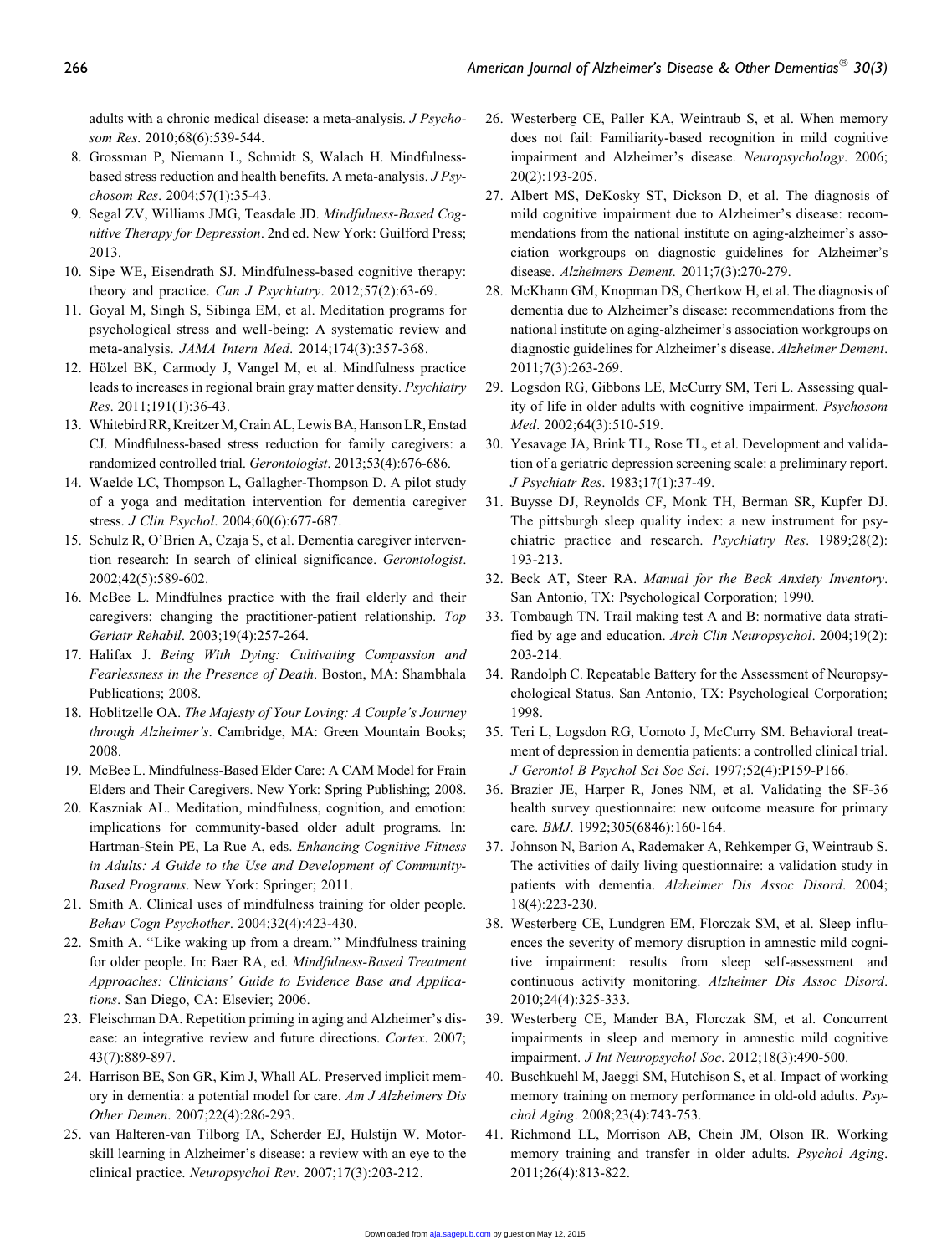adults with a chronic medical disease: a meta-analysis. J Psychosom Res. 2010;68(6):539-544.

- 8. Grossman P, Niemann L, Schmidt S, Walach H. Mindfulnessbased stress reduction and health benefits. A meta-analysis.  $JPsy$ chosom Res. 2004;57(1):35-43.
- 9. Segal ZV, Williams JMG, Teasdale JD. Mindfulness-Based Cognitive Therapy for Depression. 2nd ed. New York: Guilford Press; 2013.
- 10. Sipe WE, Eisendrath SJ. Mindfulness-based cognitive therapy: theory and practice. Can J Psychiatry. 2012;57(2):63-69.
- 11. Goyal M, Singh S, Sibinga EM, et al. Meditation programs for psychological stress and well-being: A systematic review and meta-analysis. JAMA Intern Med. 2014;174(3):357-368.
- 12. Hölzel BK, Carmody J, Vangel M, et al. Mindfulness practice leads to increases in regional brain gray matter density. Psychiatry Res. 2011;191(1):36-43.
- 13. Whitebird RR, KreitzerM, Crain AL, Lewis BA, Hanson LR, Enstad CJ. Mindfulness-based stress reduction for family caregivers: a randomized controlled trial. Gerontologist. 2013;53(4):676-686.
- 14. Waelde LC, Thompson L, Gallagher-Thompson D. A pilot study of a yoga and meditation intervention for dementia caregiver stress. J Clin Psychol. 2004;60(6):677-687.
- 15. Schulz R, O'Brien A, Czaja S, et al. Dementia caregiver intervention research: In search of clinical significance. Gerontologist. 2002;42(5):589-602.
- 16. McBee L. Mindfulnes practice with the frail elderly and their caregivers: changing the practitioner-patient relationship. Top Geriatr Rehabil. 2003;19(4):257-264.
- 17. Halifax J. Being With Dying: Cultivating Compassion and Fearlessness in the Presence of Death. Boston, MA: Shambhala Publications; 2008.
- 18. Hoblitzelle OA. The Majesty of Your Loving: A Couple's Journey through Alzheimer's. Cambridge, MA: Green Mountain Books; 2008.
- 19. McBee L. Mindfulness-Based Elder Care: A CAM Model for Frain Elders and Their Caregivers. New York: Spring Publishing; 2008.
- 20. Kaszniak AL. Meditation, mindfulness, cognition, and emotion: implications for community-based older adult programs. In: Hartman-Stein PE, La Rue A, eds. Enhancing Cognitive Fitness in Adults: A Guide to the Use and Development of Community-Based Programs. New York: Springer; 2011.
- 21. Smith A. Clinical uses of mindfulness training for older people. Behav Cogn Psychother. 2004;32(4):423-430.
- 22. Smith A. ''Like waking up from a dream.'' Mindfulness training for older people. In: Baer RA, ed. Mindfulness-Based Treatment Approaches: Clinicians' Guide to Evidence Base and Applications. San Diego, CA: Elsevier; 2006.
- 23. Fleischman DA. Repetition priming in aging and Alzheimer's disease: an integrative review and future directions. Cortex. 2007; 43(7):889-897.
- 24. Harrison BE, Son GR, Kim J, Whall AL. Preserved implicit memory in dementia: a potential model for care. Am J Alzheimers Dis Other Demen. 2007;22(4):286-293.
- 25. van Halteren-van Tilborg IA, Scherder EJ, Hulstijn W. Motorskill learning in Alzheimer's disease: a review with an eye to the clinical practice. Neuropsychol Rev. 2007;17(3):203-212.
- 26. Westerberg CE, Paller KA, Weintraub S, et al. When memory does not fail: Familiarity-based recognition in mild cognitive impairment and Alzheimer's disease. Neuropsychology. 2006; 20(2):193-205.
- 27. Albert MS, DeKosky ST, Dickson D, et al. The diagnosis of mild cognitive impairment due to Alzheimer's disease: recommendations from the national institute on aging-alzheimer's association workgroups on diagnostic guidelines for Alzheimer's disease. Alzheimers Dement. 2011;7(3):270-279.
- 28. McKhann GM, Knopman DS, Chertkow H, et al. The diagnosis of dementia due to Alzheimer's disease: recommendations from the national institute on aging-alzheimer's association workgroups on diagnostic guidelines for Alzheimer's disease. Alzheimer Dement. 2011;7(3):263-269.
- 29. Logsdon RG, Gibbons LE, McCurry SM, Teri L. Assessing quality of life in older adults with cognitive impairment. Psychosom Med. 2002;64(3):510-519.
- 30. Yesavage JA, Brink TL, Rose TL, et al. Development and validation of a geriatric depression screening scale: a preliminary report. J Psychiatr Res. 1983;17(1):37-49.
- 31. Buysse DJ, Reynolds CF, Monk TH, Berman SR, Kupfer DJ. The pittsburgh sleep quality index: a new instrument for psychiatric practice and research. Psychiatry Res. 1989;28(2): 193-213.
- 32. Beck AT, Steer RA. Manual for the Beck Anxiety Inventory. San Antonio, TX: Psychological Corporation; 1990.
- 33. Tombaugh TN. Trail making test A and B: normative data stratified by age and education. Arch Clin Neuropsychol. 2004;19(2): 203-214.
- 34. Randolph C. Repeatable Battery for the Assessment of Neuropsychological Status. San Antonio, TX: Psychological Corporation; 1998.
- 35. Teri L, Logsdon RG, Uomoto J, McCurry SM. Behavioral treatment of depression in dementia patients: a controlled clinical trial. J Gerontol B Psychol Sci Soc Sci. 1997;52(4):P159-P166.
- 36. Brazier JE, Harper R, Jones NM, et al. Validating the SF-36 health survey questionnaire: new outcome measure for primary care. BMJ. 1992;305(6846):160-164.
- 37. Johnson N, Barion A, Rademaker A, Rehkemper G, Weintraub S. The activities of daily living questionnaire: a validation study in patients with dementia. Alzheimer Dis Assoc Disord. 2004; 18(4):223-230.
- 38. Westerberg CE, Lundgren EM, Florczak SM, et al. Sleep influences the severity of memory disruption in amnestic mild cognitive impairment: results from sleep self-assessment and continuous activity monitoring. Alzheimer Dis Assoc Disord. 2010;24(4):325-333.
- 39. Westerberg CE, Mander BA, Florczak SM, et al. Concurrent impairments in sleep and memory in amnestic mild cognitive impairment. J Int Neuropsychol Soc. 2012;18(3):490-500.
- 40. Buschkuehl M, Jaeggi SM, Hutchison S, et al. Impact of working memory training on memory performance in old-old adults. Psychol Aging. 2008;23(4):743-753.
- 41. Richmond LL, Morrison AB, Chein JM, Olson IR. Working memory training and transfer in older adults. Psychol Aging. 2011;26(4):813-822.